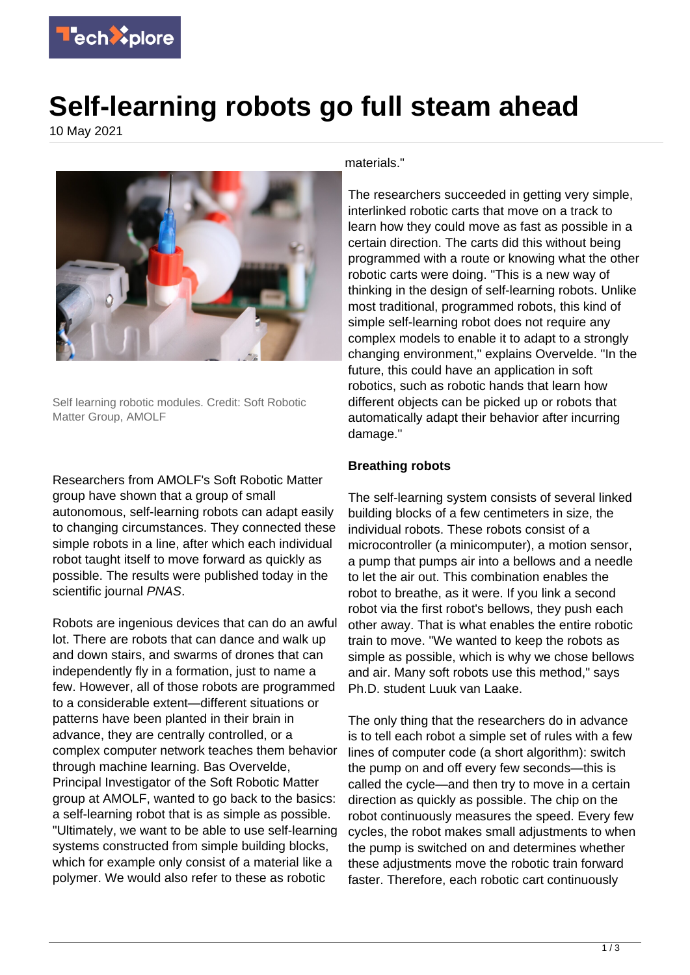

## **Self-learning robots go full steam ahead**

10 May 2021



Self learning robotic modules. Credit: Soft Robotic Matter Group, AMOLF

Researchers from AMOLF's Soft Robotic Matter group have shown that a group of small autonomous, self-learning robots can adapt easily to changing circumstances. They connected these simple robots in a line, after which each individual robot taught itself to move forward as quickly as possible. The results were published today in the scientific journal PNAS.

Robots are ingenious devices that can do an awful lot. There are robots that can dance and walk up and down stairs, and swarms of drones that can independently fly in a formation, just to name a few. However, all of those robots are programmed to a considerable extent—different situations or patterns have been planted in their brain in advance, they are centrally controlled, or a complex computer network teaches them behavior through machine learning. Bas Overvelde, Principal Investigator of the Soft Robotic Matter group at AMOLF, wanted to go back to the basics: a self-learning robot that is as simple as possible. "Ultimately, we want to be able to use self-learning systems constructed from simple building blocks, which for example only consist of a material like a polymer. We would also refer to these as robotic

materials."

The researchers succeeded in getting very simple, interlinked robotic carts that move on a track to learn how they could move as fast as possible in a certain direction. The carts did this without being programmed with a route or knowing what the other robotic carts were doing. "This is a new way of thinking in the design of self-learning robots. Unlike most traditional, programmed robots, this kind of simple self-learning robot does not require any complex models to enable it to adapt to a strongly changing environment," explains Overvelde. "In the future, this could have an application in soft robotics, such as robotic hands that learn how different objects can be picked up or robots that automatically adapt their behavior after incurring damage."

## **Breathing robots**

The self-learning system consists of several linked building blocks of a few centimeters in size, the individual robots. These robots consist of a microcontroller (a minicomputer), a motion sensor, a pump that pumps air into a bellows and a needle to let the air out. This combination enables the robot to breathe, as it were. If you link a second robot via the first robot's bellows, they push each other away. That is what enables the entire robotic train to move. "We wanted to keep the robots as simple as possible, which is why we chose bellows and air. Many soft robots use this method," says Ph.D. student Luuk van Laake.

The only thing that the researchers do in advance is to tell each robot a simple set of rules with a few lines of computer code (a short algorithm): switch the pump on and off every few seconds—this is called the cycle—and then try to move in a certain direction as quickly as possible. The chip on the robot continuously measures the speed. Every few cycles, the robot makes small adjustments to when the pump is switched on and determines whether these adjustments move the robotic train forward faster. Therefore, each robotic cart continuously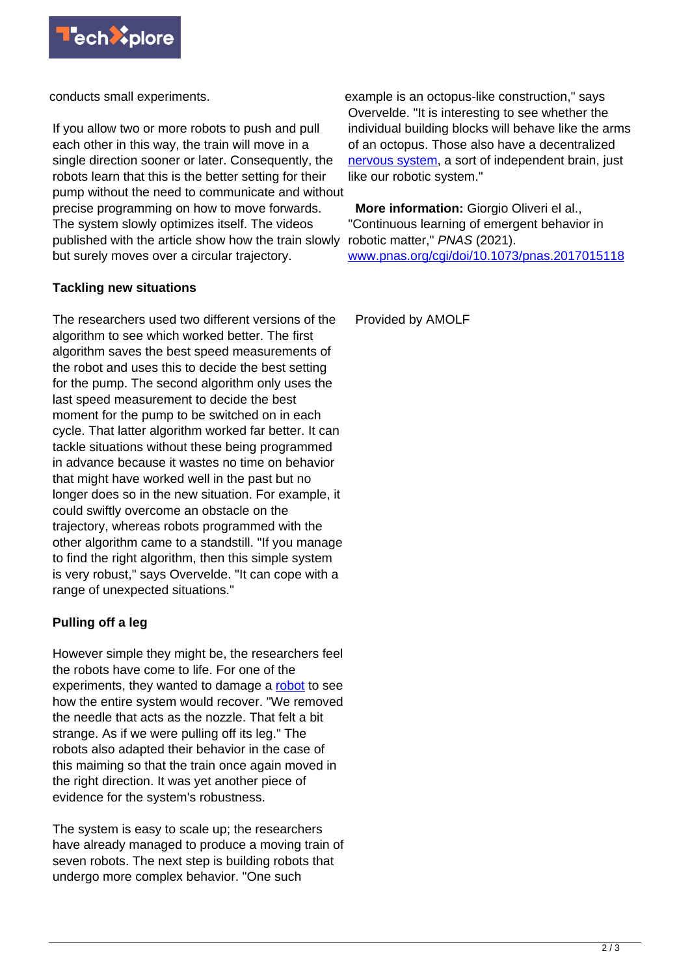

conducts small experiments.

If you allow two or more robots to push and pull each other in this way, the train will move in a single direction sooner or later. Consequently, the robots learn that this is the better setting for their pump without the need to communicate and without precise programming on how to move forwards. The system slowly optimizes itself. The videos published with the article show how the train slowly but surely moves over a circular trajectory.

## **Tackling new situations**

The researchers used two different versions of the algorithm to see which worked better. The first algorithm saves the best speed measurements of the robot and uses this to decide the best setting for the pump. The second algorithm only uses the last speed measurement to decide the best moment for the pump to be switched on in each cycle. That latter algorithm worked far better. It can tackle situations without these being programmed in advance because it wastes no time on behavior that might have worked well in the past but no longer does so in the new situation. For example, it could swiftly overcome an obstacle on the trajectory, whereas robots programmed with the other algorithm came to a standstill. "If you manage to find the right algorithm, then this simple system is very robust," says Overvelde. "It can cope with a range of unexpected situations."

## **Pulling off a leg**

However simple they might be, the researchers feel the robots have come to life. For one of the experiments, they wanted to damage a [robot](https://techxplore.com/tags/robot/) to see how the entire system would recover. "We removed the needle that acts as the nozzle. That felt a bit strange. As if we were pulling off its leg." The robots also adapted their behavior in the case of this maiming so that the train once again moved in the right direction. It was yet another piece of evidence for the system's robustness.

The system is easy to scale up; the researchers have already managed to produce a moving train of seven robots. The next step is building robots that undergo more complex behavior. "One such

example is an octopus-like construction," says Overvelde. "It is interesting to see whether the individual building blocks will behave like the arms of an octopus. Those also have a decentralized [nervous system](https://techxplore.com/tags/nervous+system/), a sort of independent brain, just like our robotic system."

 **More information:** Giorgio Oliveri el al., "Continuous learning of emergent behavior in robotic matter," PNAS (2021). [www.pnas.org/cgi/doi/10.1073/pnas.2017015118](https://www.pnas.org/cgi/doi/10.1073/pnas.2017015118)

Provided by AMOLF